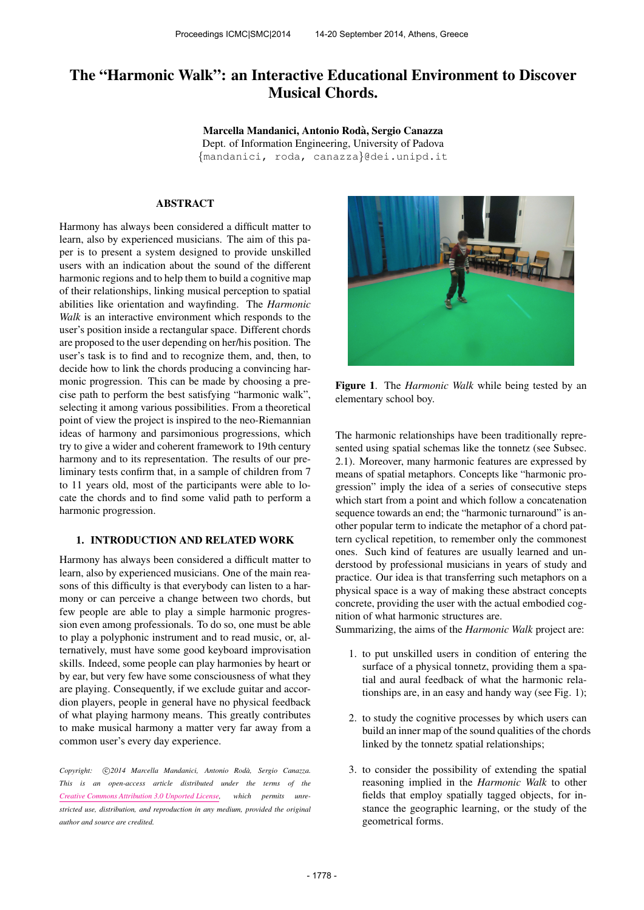# The "Harmonic Walk": an Interactive Educational Environment to Discover Musical Chords.

Marcella Mandanici, Antonio Roda, Sergio Canazza ` Dept. of Information Engineering, University of Padova {[mandanici,](mailto:mandanici@dei.unipd.it) [roda,](mailto:roda@dei.unipd.it) [canazza](mailto:canazza@dei.unipd.it)}@dei.unipd.it

#### ABSTRACT

Harmony has always been considered a difficult matter to learn, also by experienced musicians. The aim of this paper is to present a system designed to provide unskilled users with an indication about the sound of the different harmonic regions and to help them to build a cognitive map of their relationships, linking musical perception to spatial abilities like orientation and wayfinding. The *Harmonic Walk* is an interactive environment which responds to the user's position inside a rectangular space. Different chords are proposed to the user depending on her/his position. The user's task is to find and to recognize them, and, then, to decide how to link the chords producing a convincing harmonic progression. This can be made by choosing a precise path to perform the best satisfying "harmonic walk", selecting it among various possibilities. From a theoretical point of view the project is inspired to the neo-Riemannian ideas of harmony and parsimonious progressions, which try to give a wider and coherent framework to 19th century harmony and to its representation. The results of our preliminary tests confirm that, in a sample of children from 7 to 11 years old, most of the participants were able to locate the chords and to find some valid path to perform a harmonic progression.

## 1. INTRODUCTION AND RELATED WORK

Harmony has always been considered a difficult matter to learn, also by experienced musicians. One of the main reasons of this difficulty is that everybody can listen to a harmony or can perceive a change between two chords, but few people are able to play a simple harmonic progression even among professionals. To do so, one must be able to play a polyphonic instrument and to read music, or, alternatively, must have some good keyboard improvisation skills. Indeed, some people can play harmonies by heart or by ear, but very few have some consciousness of what they are playing. Consequently, if we exclude guitar and accordion players, people in general have no physical feedback of what playing harmony means. This greatly contributes to make musical harmony a matter very far away from a common user's every day experience.

Copyright:  $\bigcirc$ 2014 Marcella Mandanici, Antonio Rodà, Sergio Canazza. *This is an open-access article distributed under the terms of the [Creative Commons Attribution 3.0 Unported License,](http://creativecommons.org/licenses/by/3.0/) which permits unrestricted use, distribution, and reproduction in any medium, provided the original author and source are credited.*



Figure 1. The *Harmonic Walk* while being tested by an elementary school boy.

The harmonic relationships have been traditionally represented using spatial schemas like the tonnetz (see Subsec. 2.1). Moreover, many harmonic features are expressed by means of spatial metaphors. Concepts like "harmonic progression" imply the idea of a series of consecutive steps which start from a point and which follow a concatenation sequence towards an end; the "harmonic turnaround" is another popular term to indicate the metaphor of a chord pattern cyclical repetition, to remember only the commonest ones. Such kind of features are usually learned and understood by professional musicians in years of study and practice. Our idea is that transferring such metaphors on a physical space is a way of making these abstract concepts concrete, providing the user with the actual embodied cognition of what harmonic structures are.

Summarizing, the aims of the *Harmonic Walk* project are:

- 1. to put unskilled users in condition of entering the surface of a physical tonnetz, providing them a spatial and aural feedback of what the harmonic relationships are, in an easy and handy way (see Fig. 1);
- 2. to study the cognitive processes by which users can build an inner map of the sound qualities of the chords linked by the tonnetz spatial relationships;
- 3. to consider the possibility of extending the spatial reasoning implied in the *Harmonic Walk* to other fields that employ spatially tagged objects, for instance the geographic learning, or the study of the geometrical forms.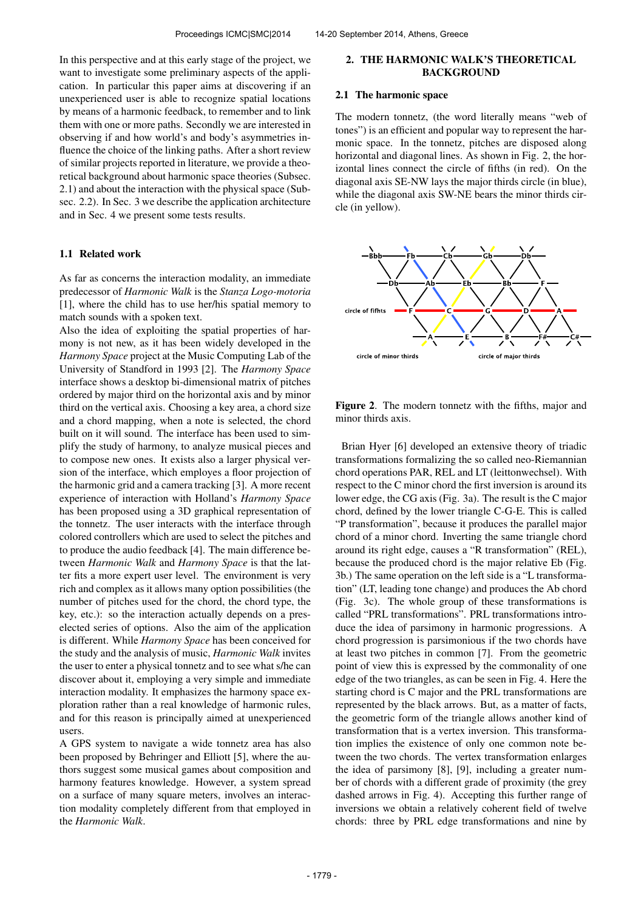In this perspective and at this early stage of the project, we want to investigate some preliminary aspects of the application. In particular this paper aims at discovering if an unexperienced user is able to recognize spatial locations by means of a harmonic feedback, to remember and to link them with one or more paths. Secondly we are interested in observing if and how world's and body's asymmetries influence the choice of the linking paths. After a short review of similar projects reported in literature, we provide a theoretical background about harmonic space theories (Subsec. 2.1) and about the interaction with the physical space (Subsec. 2.2). In Sec. 3 we describe the application architecture and in Sec. 4 we present some tests results.

#### 1.1 Related work

As far as concerns the interaction modality, an immediate predecessor of *Harmonic Walk* is the *Stanza Logo-motoria* [1], where the child has to use her/his spatial memory to match sounds with a spoken text.

Also the idea of exploiting the spatial properties of harmony is not new, as it has been widely developed in the *Harmony Space* project at the Music Computing Lab of the University of Standford in 1993 [2]. The *Harmony Space* interface shows a desktop bi-dimensional matrix of pitches ordered by major third on the horizontal axis and by minor third on the vertical axis. Choosing a key area, a chord size and a chord mapping, when a note is selected, the chord built on it will sound. The interface has been used to simplify the study of harmony, to analyze musical pieces and to compose new ones. It exists also a larger physical version of the interface, which employes a floor projection of the harmonic grid and a camera tracking [3]. A more recent experience of interaction with Holland's *Harmony Space* has been proposed using a 3D graphical representation of the tonnetz. The user interacts with the interface through colored controllers which are used to select the pitches and to produce the audio feedback [4]. The main difference between *Harmonic Walk* and *Harmony Space* is that the latter fits a more expert user level. The environment is very rich and complex as it allows many option possibilities (the number of pitches used for the chord, the chord type, the key, etc.): so the interaction actually depends on a preselected series of options. Also the aim of the application is different. While *Harmony Space* has been conceived for the study and the analysis of music, *Harmonic Walk* invites the user to enter a physical tonnetz and to see what s/he can discover about it, employing a very simple and immediate interaction modality. It emphasizes the harmony space exploration rather than a real knowledge of harmonic rules, and for this reason is principally aimed at unexperienced users.

A GPS system to navigate a wide tonnetz area has also been proposed by Behringer and Elliott [5], where the authors suggest some musical games about composition and harmony features knowledge. However, a system spread on a surface of many square meters, involves an interaction modality completely different from that employed in the *Harmonic Walk*.

## 2. THE HARMONIC WALK'S THEORETICAL BACKGROUND

#### 2.1 The harmonic space

The modern tonnetz, (the word literally means "web of tones") is an efficient and popular way to represent the harmonic space. In the tonnetz, pitches are disposed along horizontal and diagonal lines. As shown in Fig. 2, the horizontal lines connect the circle of fifths (in red). On the diagonal axis SE-NW lays the major thirds circle (in blue), while the diagonal axis SW-NE bears the minor thirds circle (in yellow).



Figure 2. The modern tonnetz with the fifths, major and minor thirds axis.

Brian Hyer [6] developed an extensive theory of triadic transformations formalizing the so called neo-Riemannian chord operations PAR, REL and LT (leittonwechsel). With respect to the C minor chord the first inversion is around its lower edge, the CG axis (Fig. 3a). The result is the C major chord, defined by the lower triangle C-G-E. This is called "P transformation", because it produces the parallel major chord of a minor chord. Inverting the same triangle chord around its right edge, causes a "R transformation" (REL), because the produced chord is the major relative Eb (Fig. 3b.) The same operation on the left side is a "L transformation" (LT, leading tone change) and produces the Ab chord (Fig. 3c). The whole group of these transformations is called "PRL transformations". PRL transformations introduce the idea of parsimony in harmonic progressions. A chord progression is parsimonious if the two chords have at least two pitches in common [7]. From the geometric point of view this is expressed by the commonality of one edge of the two triangles, as can be seen in Fig. 4. Here the starting chord is C major and the PRL transformations are represented by the black arrows. But, as a matter of facts, the geometric form of the triangle allows another kind of transformation that is a vertex inversion. This transformation implies the existence of only one common note between the two chords. The vertex transformation enlarges the idea of parsimony [8], [9], including a greater number of chords with a different grade of proximity (the grey dashed arrows in Fig. 4). Accepting this further range of inversions we obtain a relatively coherent field of twelve chords: three by PRL edge transformations and nine by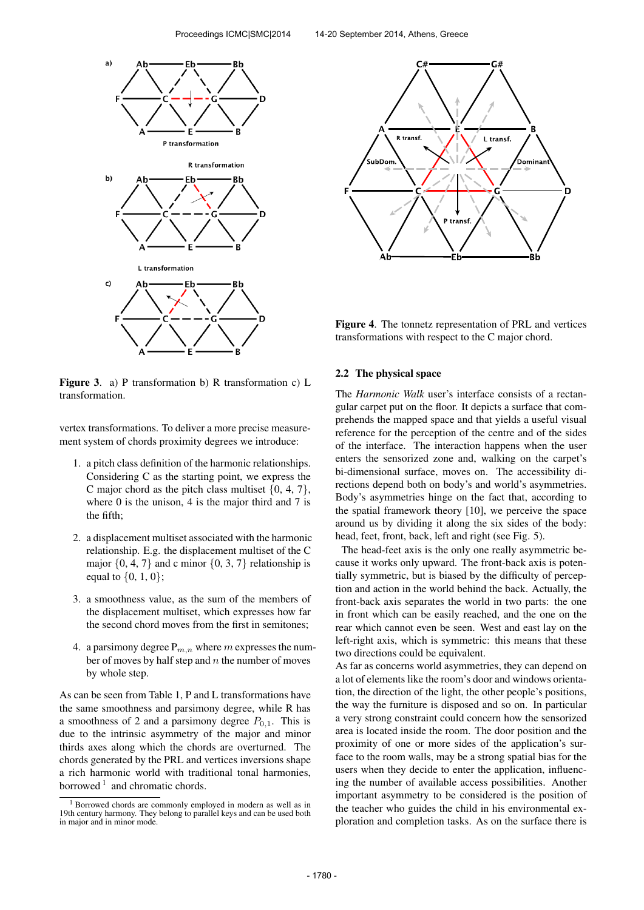

Figure 3. a) P transformation b) R transformation c) L transformation.

vertex transformations. To deliver a more precise measurement system of chords proximity degrees we introduce:

- 1. a pitch class definition of the harmonic relationships. Considering C as the starting point, we express the C major chord as the pitch class multiset  $\{0, 4, 7\}$ , where 0 is the unison, 4 is the major third and 7 is the fifth;
- 2. a displacement multiset associated with the harmonic relationship. E.g. the displacement multiset of the C major  $\{0, 4, 7\}$  and c minor  $\{0, 3, 7\}$  relationship is equal to  $\{0, 1, 0\}$ ;
- 3. a smoothness value, as the sum of the members of the displacement multiset, which expresses how far the second chord moves from the first in semitones;
- 4. a parsimony degree  $P_{m,n}$  where m expresses the number of moves by half step and  $n$  the number of moves by whole step.

As can be seen from Table 1, P and L transformations have the same smoothness and parsimony degree, while R has a smoothness of 2 and a parsimony degree  $P_{0,1}$ . This is due to the intrinsic asymmetry of the major and minor thirds axes along which the chords are overturned. The chords generated by the PRL and vertices inversions shape a rich harmonic world with traditional tonal harmonies, borrowed  $1$  and chromatic chords.



Figure 4. The tonnetz representation of PRL and vertices transformations with respect to the C major chord.

## 2.2 The physical space

The *Harmonic Walk* user's interface consists of a rectangular carpet put on the floor. It depicts a surface that comprehends the mapped space and that yields a useful visual reference for the perception of the centre and of the sides of the interface. The interaction happens when the user enters the sensorized zone and, walking on the carpet's bi-dimensional surface, moves on. The accessibility directions depend both on body's and world's asymmetries. Body's asymmetries hinge on the fact that, according to the spatial framework theory [10], we perceive the space around us by dividing it along the six sides of the body: head, feet, front, back, left and right (see Fig. 5).

The head-feet axis is the only one really asymmetric because it works only upward. The front-back axis is potentially symmetric, but is biased by the difficulty of perception and action in the world behind the back. Actually, the front-back axis separates the world in two parts: the one in front which can be easily reached, and the one on the rear which cannot even be seen. West and east lay on the left-right axis, which is symmetric: this means that these two directions could be equivalent.

As far as concerns world asymmetries, they can depend on a lot of elements like the room's door and windows orientation, the direction of the light, the other people's positions, the way the furniture is disposed and so on. In particular a very strong constraint could concern how the sensorized area is located inside the room. The door position and the proximity of one or more sides of the application's surface to the room walls, may be a strong spatial bias for the users when they decide to enter the application, influencing the number of available access possibilities. Another important asymmetry to be considered is the position of the teacher who guides the child in his environmental exploration and completion tasks. As on the surface there is

<sup>1</sup> Borrowed chords are commonly employed in modern as well as in 19th century harmony. They belong to parallel keys and can be used both in major and in minor mode.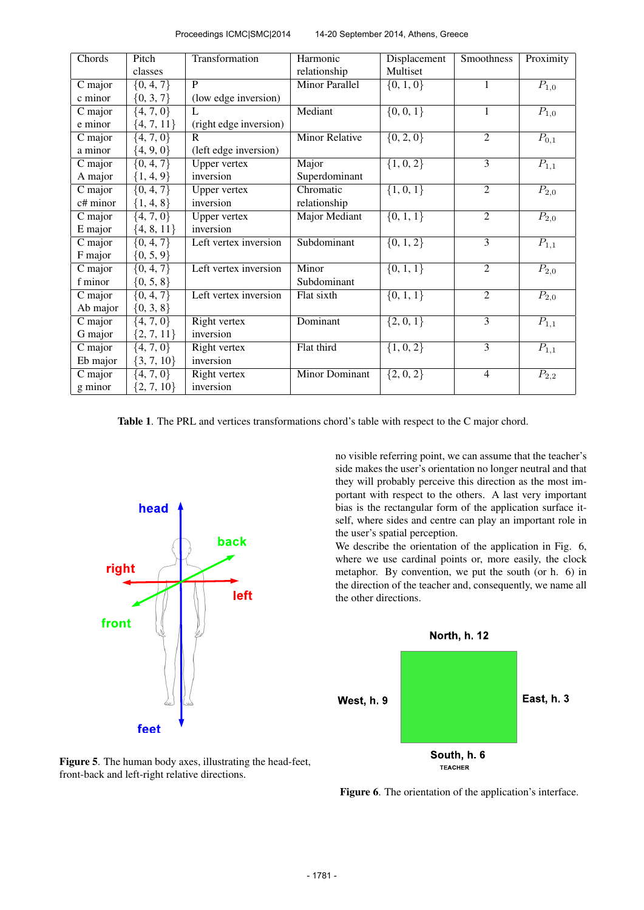| Proceedings ICMC SMC 2014 | 14-20 September 2014, Athens, Greece |
|---------------------------|--------------------------------------|
|---------------------------|--------------------------------------|

| Chords   | Pitch          | Transformation         | Harmonic              | Displacement  | Smoothness     | Proximity            |
|----------|----------------|------------------------|-----------------------|---------------|----------------|----------------------|
|          | classes        |                        | relationship          | Multiset      |                |                      |
| C major  | $\{0, 4, 7\}$  | P                      | <b>Minor Parallel</b> | $\{0, 1, 0\}$ | 1              | $P_{1,0}$            |
| c minor  | $\{0, 3, 7\}$  | (low edge inversion)   |                       |               |                |                      |
| C major  | $\{4, 7, 0\}$  | L                      | Mediant               | $\{0, 0, 1\}$ | $\mathbf{1}$   | $P_{1,0}$            |
| e minor  | $\{4, 7, 11\}$ | (right edge inversion) |                       |               |                |                      |
| C major  | $\{4, 7, 0\}$  | $\mathbf{R}$           | <b>Minor Relative</b> | $\{0, 2, 0\}$ | $\overline{2}$ | $\overline{P}_{0,1}$ |
| a minor  | $\{4, 9, 0\}$  | (left edge inversion)  |                       |               |                |                      |
| C major  | $\{0, 4, 7\}$  | <b>Upper vertex</b>    | Major                 | $\{1, 0, 2\}$ | $\overline{3}$ | $P_{1,1}$            |
| A major  | $\{1, 4, 9\}$  | inversion              | Superdominant         |               |                |                      |
| C major  | $\{0, 4, 7\}$  | <b>Upper vertex</b>    | Chromatic             | $\{1, 0, 1\}$ | $\overline{2}$ | $P_{2,0}$            |
| c# minor | ${1, 4, 8}$    | inversion              | relationship          |               |                |                      |
| C major  | $\{4, 7, 0\}$  | <b>Upper vertex</b>    | Major Mediant         | $\{0, 1, 1\}$ | $\overline{2}$ | $P_{2,0}$            |
| E major  | ${4, 8, 11}$   | inversion              |                       |               |                |                      |
| C major  | $\{0, 4, 7\}$  | Left vertex inversion  | Subdominant           | $\{0, 1, 2\}$ | 3              | $P_{1,1}$            |
| F major  | $\{0, 5, 9\}$  |                        |                       |               |                |                      |
| C major  | $\{0, 4, 7\}$  | Left vertex inversion  | Minor                 | $\{0, 1, 1\}$ | $\overline{2}$ | $P_{2,0}$            |
| f minor  | $\{0, 5, 8\}$  |                        | Subdominant           |               |                |                      |
| C major  | $\{0, 4, 7\}$  | Left vertex inversion  | Flat sixth            | $\{0, 1, 1\}$ | $\overline{2}$ | $P_{2,0}$            |
| Ab major | $\{0, 3, 8\}$  |                        |                       |               |                |                      |
| C major  | $\{4, 7, 0\}$  | Right vertex           | Dominant              | $\{2, 0, 1\}$ | $\overline{3}$ | $P_{1,1}$            |
| G major  | ${2, 7, 11}$   | inversion              |                       |               |                |                      |
| C major  | $\{4, 7, 0\}$  | Right vertex           | Flat third            | $\{1, 0, 2\}$ | $\overline{3}$ | $P_{1,1}$            |
| Eb major | $\{3, 7, 10\}$ | inversion              |                       |               |                |                      |
| C major  | $\{4, 7, 0\}$  | Right vertex           | Minor Dominant        | $\{2, 0, 2\}$ | $\overline{4}$ | $P_{2,2}$            |
| g minor  | $\{2, 7, 10\}$ | inversion              |                       |               |                |                      |

Table 1. The PRL and vertices transformations chord's table with respect to the C major chord.



Figure 5. The human body axes, illustrating the head-feet, front-back and left-right relative directions.

no visible referring point, we can assume that the teacher's side makes the user's orientation no longer neutral and that they will probably perceive this direction as the most important with respect to the others. A last very important bias is the rectangular form of the application surface itself, where sides and centre can play an important role in the user's spatial perception.

We describe the orientation of the application in Fig. 6, where we use cardinal points or, more easily, the clock metaphor. By convention, we put the south (or h. 6) in the direction of the teacher and, consequently, we name all the other directions.



Figure 6. The orientation of the application's interface.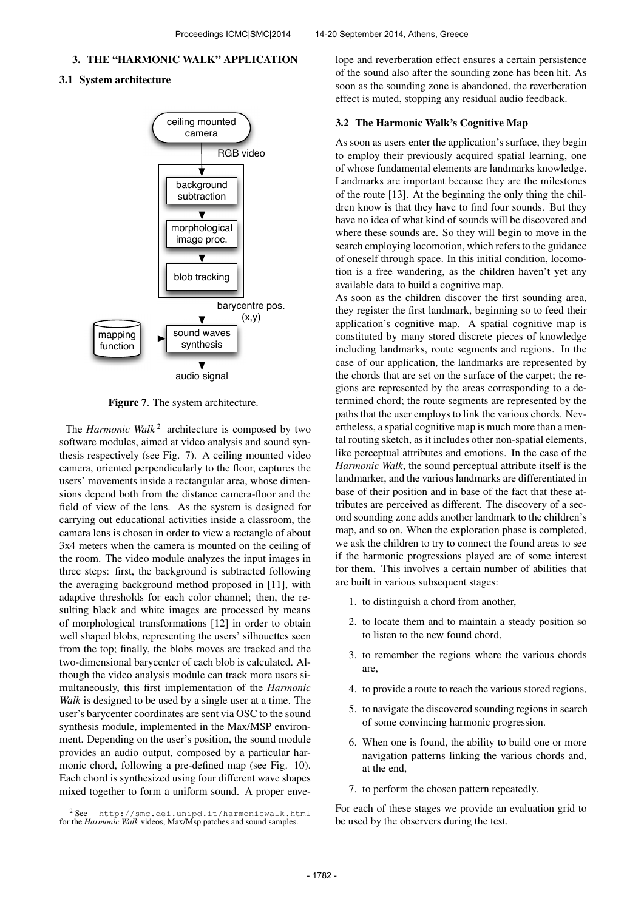## 3. THE "HARMONIC WALK" APPLICATION

## 3.1 System architecture



Figure 7. The system architecture.

The *Harmonic Walk*<sup>2</sup> architecture is composed by two software modules, aimed at video analysis and sound synthesis respectively (see Fig. 7). A ceiling mounted video camera, oriented perpendicularly to the floor, captures the users' movements inside a rectangular area, whose dimensions depend both from the distance camera-floor and the field of view of the lens. As the system is designed for carrying out educational activities inside a classroom, the camera lens is chosen in order to view a rectangle of about 3x4 meters when the camera is mounted on the ceiling of the room. The video module analyzes the input images in three steps: first, the background is subtracted following the averaging background method proposed in [11], with adaptive thresholds for each color channel; then, the resulting black and white images are processed by means of morphological transformations [12] in order to obtain well shaped blobs, representing the users' silhouettes seen from the top; finally, the blobs moves are tracked and the two-dimensional barycenter of each blob is calculated. Although the video analysis module can track more users simultaneously, this first implementation of the *Harmonic Walk* is designed to be used by a single user at a time. The user's barycenter coordinates are sent via OSC to the sound synthesis module, implemented in the Max/MSP environment. Depending on the user's position, the sound module provides an audio output, composed by a particular harmonic chord, following a pre-defined map (see Fig. 10). Each chord is synthesized using four different wave shapes mixed together to form a uniform sound. A proper envelope and reverberation effect ensures a certain persistence of the sound also after the sounding zone has been hit. As soon as the sounding zone is abandoned, the reverberation effect is muted, stopping any residual audio feedback.

#### 3.2 The Harmonic Walk's Cognitive Map

As soon as users enter the application's surface, they begin to employ their previously acquired spatial learning, one of whose fundamental elements are landmarks knowledge. Landmarks are important because they are the milestones of the route [13]. At the beginning the only thing the children know is that they have to find four sounds. But they have no idea of what kind of sounds will be discovered and where these sounds are. So they will begin to move in the search employing locomotion, which refers to the guidance of oneself through space. In this initial condition, locomotion is a free wandering, as the children haven't yet any available data to build a cognitive map.

As soon as the children discover the first sounding area, they register the first landmark, beginning so to feed their application's cognitive map. A spatial cognitive map is constituted by many stored discrete pieces of knowledge including landmarks, route segments and regions. In the case of our application, the landmarks are represented by the chords that are set on the surface of the carpet; the regions are represented by the areas corresponding to a determined chord; the route segments are represented by the paths that the user employs to link the various chords. Nevertheless, a spatial cognitive map is much more than a mental routing sketch, as it includes other non-spatial elements, like perceptual attributes and emotions. In the case of the *Harmonic Walk*, the sound perceptual attribute itself is the landmarker, and the various landmarks are differentiated in base of their position and in base of the fact that these attributes are perceived as different. The discovery of a second sounding zone adds another landmark to the children's map, and so on. When the exploration phase is completed, we ask the children to try to connect the found areas to see if the harmonic progressions played are of some interest for them. This involves a certain number of abilities that are built in various subsequent stages:

- 1. to distinguish a chord from another,
- 2. to locate them and to maintain a steady position so to listen to the new found chord,
- 3. to remember the regions where the various chords are,
- 4. to provide a route to reach the various stored regions,
- 5. to navigate the discovered sounding regions in search of some convincing harmonic progression.
- 6. When one is found, the ability to build one or more navigation patterns linking the various chords and, at the end,
- 7. to perform the chosen pattern repeatedly.

For each of these stages we provide an evaluation grid to be used by the observers during the test.

<sup>2</sup> See <http://smc.dei.unipd.it/harmonicwalk.html> for the *Harmonic Walk* videos, Max/Msp patches and sound samples.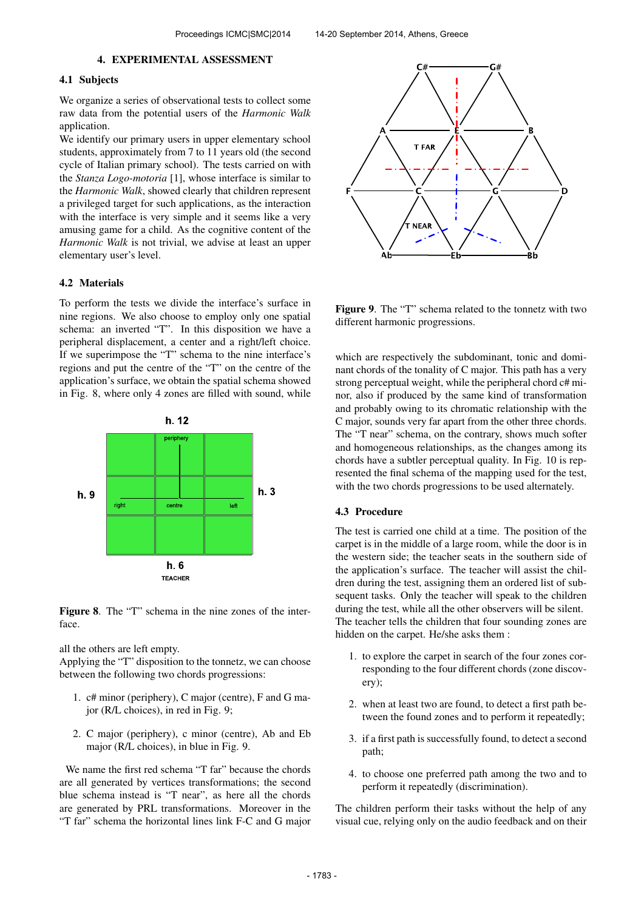#### 4. EXPERIMENTAL ASSESSMENT

# 4.1 Subjects

We organize a series of observational tests to collect some raw data from the potential users of the *Harmonic Walk* application.

We identify our primary users in upper elementary school students, approximately from 7 to 11 years old (the second cycle of Italian primary school). The tests carried on with the *Stanza Logo-motoria* [1], whose interface is similar to the *Harmonic Walk*, showed clearly that children represent a privileged target for such applications, as the interaction with the interface is very simple and it seems like a very amusing game for a child. As the cognitive content of the *Harmonic Walk* is not trivial, we advise at least an upper elementary user's level.

#### 4.2 Materials

To perform the tests we divide the interface's surface in nine regions. We also choose to employ only one spatial schema: an inverted "T". In this disposition we have a peripheral displacement, a center and a right/left choice. If we superimpose the "T" schema to the nine interface's regions and put the centre of the "T" on the centre of the application's surface, we obtain the spatial schema showed in Fig. 8, where only 4 zones are filled with sound, while



Figure 8. The "T" schema in the nine zones of the interface.

all the others are left empty.

Applying the "T" disposition to the tonnetz, we can choose between the following two chords progressions:

- 1. c# minor (periphery), C major (centre), F and G major (R/L choices), in red in Fig. 9;
- 2. C major (periphery), c minor (centre), Ab and Eb major (R/L choices), in blue in Fig. 9.

We name the first red schema "T far" because the chords are all generated by vertices transformations; the second blue schema instead is "T near", as here all the chords are generated by PRL transformations. Moreover in the "T far" schema the horizontal lines link F-C and G major



Figure 9. The "T" schema related to the tonnetz with two different harmonic progressions.

which are respectively the subdominant, tonic and dominant chords of the tonality of C major. This path has a very strong perceptual weight, while the peripheral chord c# minor, also if produced by the same kind of transformation and probably owing to its chromatic relationship with the C major, sounds very far apart from the other three chords. The "T near" schema, on the contrary, shows much softer and homogeneous relationships, as the changes among its chords have a subtler perceptual quality. In Fig. 10 is represented the final schema of the mapping used for the test, with the two chords progressions to be used alternately.

#### 4.3 Procedure

The test is carried one child at a time. The position of the carpet is in the middle of a large room, while the door is in the western side; the teacher seats in the southern side of the application's surface. The teacher will assist the children during the test, assigning them an ordered list of subsequent tasks. Only the teacher will speak to the children during the test, while all the other observers will be silent. The teacher tells the children that four sounding zones are hidden on the carpet. He/she asks them :

- 1. to explore the carpet in search of the four zones corresponding to the four different chords (zone discovery);
- 2. when at least two are found, to detect a first path between the found zones and to perform it repeatedly;
- 3. if a first path is successfully found, to detect a second path;
- 4. to choose one preferred path among the two and to perform it repeatedly (discrimination).

The children perform their tasks without the help of any visual cue, relying only on the audio feedback and on their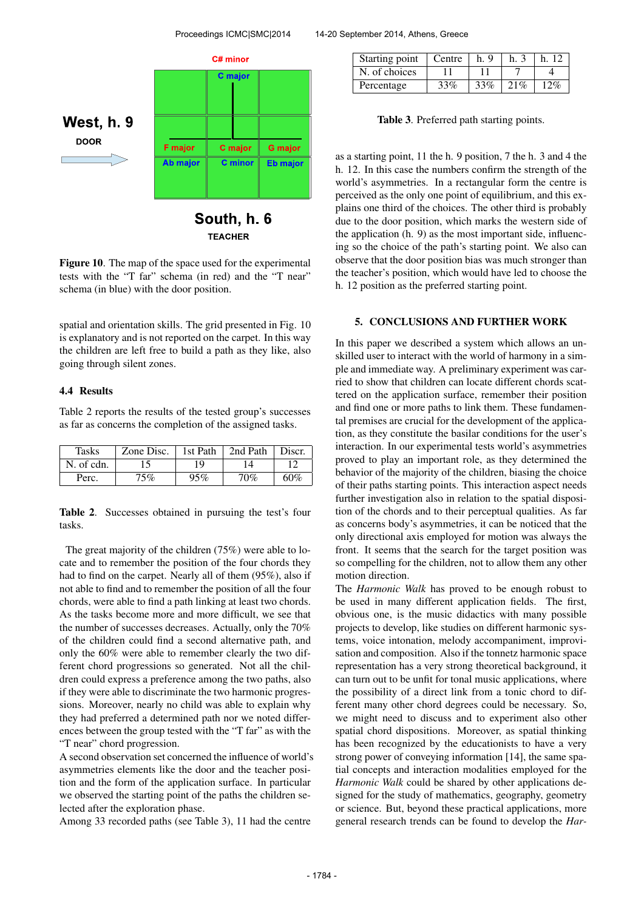

**TEACHER** 

Figure 10. The map of the space used for the experimental tests with the "T far" schema (in red) and the "T near" schema (in blue) with the door position.

spatial and orientation skills. The grid presented in Fig. 10 is explanatory and is not reported on the carpet. In this way the children are left free to build a path as they like, also going through silent zones.

#### 4.4 Results

Table 2 reports the results of the tested group's successes as far as concerns the completion of the assigned tasks.

| <b>Tasks</b> | Zone Disc. | 1st Path | 2nd Path | Discr. |
|--------------|------------|----------|----------|--------|
| N. of cdn.   |            | 19       | ۱4       |        |
| Perc.        | 75%        | 95%      | 70%      | 60%    |

Table 2. Successes obtained in pursuing the test's four tasks.

The great majority of the children (75%) were able to locate and to remember the position of the four chords they had to find on the carpet. Nearly all of them (95%), also if not able to find and to remember the position of all the four chords, were able to find a path linking at least two chords. As the tasks become more and more difficult, we see that the number of successes decreases. Actually, only the 70% of the children could find a second alternative path, and only the 60% were able to remember clearly the two different chord progressions so generated. Not all the children could express a preference among the two paths, also if they were able to discriminate the two harmonic progressions. Moreover, nearly no child was able to explain why they had preferred a determined path nor we noted differences between the group tested with the "T far" as with the "T near" chord progression.

A second observation set concerned the influence of world's asymmetries elements like the door and the teacher position and the form of the application surface. In particular we observed the starting point of the paths the children selected after the exploration phase.

Among 33 recorded paths (see Table 3), 11 had the centre

| Starting point   Centre |     | h.9 |     | h 12 |
|-------------------------|-----|-----|-----|------|
| N. of choices           |     |     |     |      |
| Percentage              | 33% | 33% | 21% | 2%   |

Table 3. Preferred path starting points.

as a starting point, 11 the h. 9 position, 7 the h. 3 and 4 the h. 12. In this case the numbers confirm the strength of the world's asymmetries. In a rectangular form the centre is perceived as the only one point of equilibrium, and this explains one third of the choices. The other third is probably due to the door position, which marks the western side of the application (h. 9) as the most important side, influencing so the choice of the path's starting point. We also can observe that the door position bias was much stronger than the teacher's position, which would have led to choose the h. 12 position as the preferred starting point.

#### 5. CONCLUSIONS AND FURTHER WORK

In this paper we described a system which allows an unskilled user to interact with the world of harmony in a simple and immediate way. A preliminary experiment was carried to show that children can locate different chords scattered on the application surface, remember their position and find one or more paths to link them. These fundamental premises are crucial for the development of the application, as they constitute the basilar conditions for the user's interaction. In our experimental tests world's asymmetries proved to play an important role, as they determined the behavior of the majority of the children, biasing the choice of their paths starting points. This interaction aspect needs further investigation also in relation to the spatial disposition of the chords and to their perceptual qualities. As far as concerns body's asymmetries, it can be noticed that the only directional axis employed for motion was always the front. It seems that the search for the target position was so compelling for the children, not to allow them any other motion direction.

The *Harmonic Walk* has proved to be enough robust to be used in many different application fields. The first, obvious one, is the music didactics with many possible projects to develop, like studies on different harmonic systems, voice intonation, melody accompaniment, improvisation and composition. Also if the tonnetz harmonic space representation has a very strong theoretical background, it can turn out to be unfit for tonal music applications, where the possibility of a direct link from a tonic chord to different many other chord degrees could be necessary. So, we might need to discuss and to experiment also other spatial chord dispositions. Moreover, as spatial thinking has been recognized by the educationists to have a very strong power of conveying information [14], the same spatial concepts and interaction modalities employed for the *Harmonic Walk* could be shared by other applications designed for the study of mathematics, geography, geometry or science. But, beyond these practical applications, more general research trends can be found to develop the *Har-*